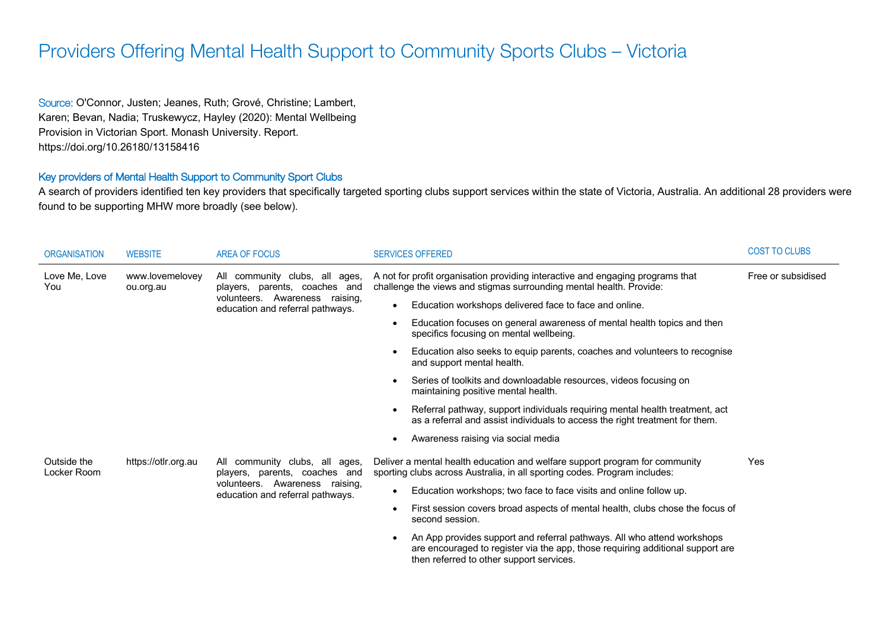## Providers Offering Mental Health Support to Community Sports Clubs – Victoria

Source: O'Connor, Justen; Jeanes, Ruth; Grové, Christine; Lambert, Karen; Bevan, Nadia; Truskewycz, Hayley (2020): Mental Wellbeing Provision in Victorian Sport. Monash University. Report. https://doi.org/10.26180/13158416

## Key providers of Mental Health Support to Community Sport Clubs

A search of providers identified ten key providers that specifically targeted sporting clubs support services within the state of Victoria, Australia. An additional 28 providers were found to be supporting MHW more broadly (see below).

| <b>ORGANISATION</b>        | <b>WEBSITE</b>               | AREA OF FOCUS                                                                                                                         | <b>SERVICES OFFERED</b>                                                                                                                                                                                            | <b>COST TO CLUBS</b> |
|----------------------------|------------------------------|---------------------------------------------------------------------------------------------------------------------------------------|--------------------------------------------------------------------------------------------------------------------------------------------------------------------------------------------------------------------|----------------------|
| Love Me, Love<br>You       | www.lovemelovey<br>ou.org.au | All community clubs, all ages,<br>players, parents, coaches and<br>volunteers. Awareness raising,<br>education and referral pathways. | A not for profit organisation providing interactive and engaging programs that<br>challenge the views and stigmas surrounding mental health. Provide:                                                              | Free or subsidised   |
|                            |                              |                                                                                                                                       | Education workshops delivered face to face and online.<br>$\bullet$                                                                                                                                                |                      |
|                            |                              |                                                                                                                                       | Education focuses on general awareness of mental health topics and then<br>$\bullet$<br>specifics focusing on mental wellbeing.                                                                                    |                      |
|                            |                              |                                                                                                                                       | Education also seeks to equip parents, coaches and volunteers to recognise<br>$\bullet$<br>and support mental health.                                                                                              |                      |
|                            |                              |                                                                                                                                       | Series of toolkits and downloadable resources, videos focusing on<br>$\bullet$<br>maintaining positive mental health.                                                                                              |                      |
|                            |                              |                                                                                                                                       | Referral pathway, support individuals requiring mental health treatment, act<br>$\bullet$<br>as a referral and assist individuals to access the right treatment for them.                                          |                      |
|                            |                              |                                                                                                                                       | Awareness raising via social media<br>$\bullet$                                                                                                                                                                    |                      |
| Outside the<br>Locker Room | https://otlr.org.au          | All community clubs, all ages,<br>players, parents, coaches and                                                                       | Deliver a mental health education and welfare support program for community<br>sporting clubs across Australia, in all sporting codes. Program includes:                                                           | Yes                  |
|                            |                              | volunteers. Awareness raising,<br>education and referral pathways.                                                                    | Education workshops; two face to face visits and online follow up.<br>$\bullet$                                                                                                                                    |                      |
|                            |                              |                                                                                                                                       | First session covers broad aspects of mental health, clubs chose the focus of<br>$\bullet$<br>second session.                                                                                                      |                      |
|                            |                              |                                                                                                                                       | An App provides support and referral pathways. All who attend workshops<br>$\bullet$<br>are encouraged to register via the app, those requiring additional support are<br>then referred to other support services. |                      |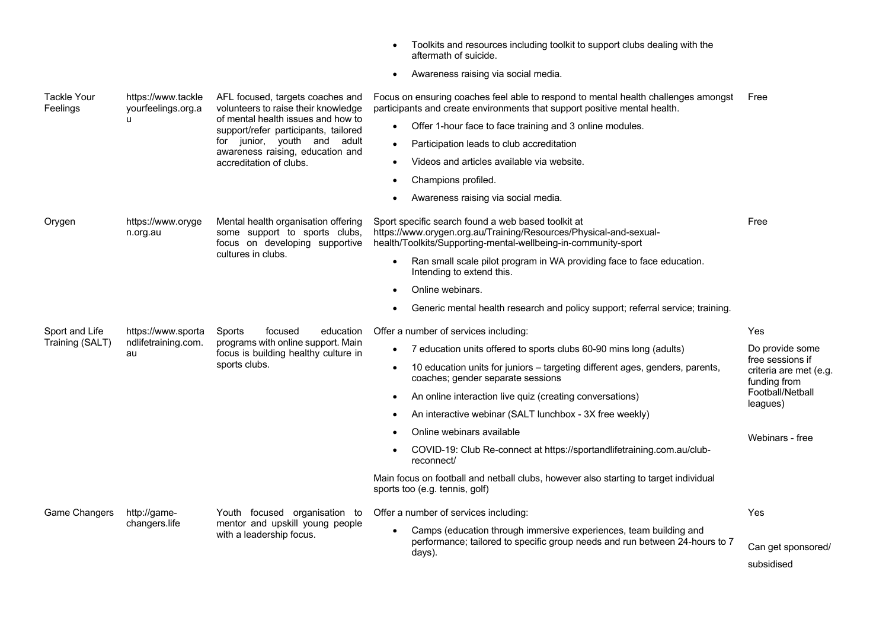|                                |                                                 |                                                                                                                                                                                                                          | Toolkits and resources including toolkit to support clubs dealing with the<br>aftermath of suicide.                                                                                       |                                                                                                               |  |
|--------------------------------|-------------------------------------------------|--------------------------------------------------------------------------------------------------------------------------------------------------------------------------------------------------------------------------|-------------------------------------------------------------------------------------------------------------------------------------------------------------------------------------------|---------------------------------------------------------------------------------------------------------------|--|
|                                |                                                 |                                                                                                                                                                                                                          | Awareness raising via social media.<br>$\bullet$                                                                                                                                          |                                                                                                               |  |
| <b>Tackle Your</b><br>Feelings | https://www.tackle<br>yourfeelings.org.a        | AFL focused, targets coaches and<br>volunteers to raise their knowledge<br>of mental health issues and how to<br>support/refer participants, tailored<br>for junior, youth and adult<br>awareness raising, education and | Focus on ensuring coaches feel able to respond to mental health challenges amongst<br>participants and create environments that support positive mental health.                           | Free                                                                                                          |  |
|                                | $\mathbf{u}$                                    |                                                                                                                                                                                                                          | Offer 1-hour face to face training and 3 online modules.                                                                                                                                  |                                                                                                               |  |
|                                |                                                 |                                                                                                                                                                                                                          | Participation leads to club accreditation<br>$\bullet$                                                                                                                                    |                                                                                                               |  |
|                                |                                                 | accreditation of clubs.                                                                                                                                                                                                  | Videos and articles available via website.<br>$\bullet$                                                                                                                                   |                                                                                                               |  |
|                                |                                                 |                                                                                                                                                                                                                          | Champions profiled.                                                                                                                                                                       |                                                                                                               |  |
|                                |                                                 |                                                                                                                                                                                                                          | Awareness raising via social media.<br>$\bullet$                                                                                                                                          |                                                                                                               |  |
| Orygen                         | https://www.oryge<br>n.org.au                   | Mental health organisation offering<br>some support to sports clubs,<br>focus on developing supportive<br>cultures in clubs.                                                                                             | Sport specific search found a web based toolkit at<br>https://www.orygen.org.au/Training/Resources/Physical-and-sexual-<br>health/Toolkits/Supporting-mental-wellbeing-in-community-sport | Free                                                                                                          |  |
|                                |                                                 |                                                                                                                                                                                                                          | Ran small scale pilot program in WA providing face to face education.<br>Intending to extend this.                                                                                        |                                                                                                               |  |
|                                |                                                 |                                                                                                                                                                                                                          | Online webinars.                                                                                                                                                                          |                                                                                                               |  |
|                                |                                                 |                                                                                                                                                                                                                          | Generic mental health research and policy support; referral service; training.                                                                                                            |                                                                                                               |  |
| Sport and Life                 | https://www.sporta<br>ndlifetraining.com.<br>au | Sports<br>focused<br>education                                                                                                                                                                                           | Offer a number of services including:                                                                                                                                                     | Yes                                                                                                           |  |
| Training (SALT)                |                                                 | programs with online support. Main<br>focus is building healthy culture in                                                                                                                                               | 7 education units offered to sports clubs 60-90 mins long (adults)                                                                                                                        | Do provide some<br>free sessions if<br>criteria are met (e.g.<br>funding from<br>Football/Netball<br>leagues) |  |
|                                |                                                 | sports clubs.                                                                                                                                                                                                            | 10 education units for juniors - targeting different ages, genders, parents,<br>coaches; gender separate sessions                                                                         |                                                                                                               |  |
|                                |                                                 |                                                                                                                                                                                                                          | An online interaction live quiz (creating conversations)<br>$\bullet$                                                                                                                     |                                                                                                               |  |
|                                |                                                 |                                                                                                                                                                                                                          | An interactive webinar (SALT lunchbox - 3X free weekly)<br>$\bullet$                                                                                                                      |                                                                                                               |  |
|                                |                                                 |                                                                                                                                                                                                                          | Online webinars available                                                                                                                                                                 | Webinars - free                                                                                               |  |
|                                |                                                 |                                                                                                                                                                                                                          | COVID-19: Club Re-connect at https://sportandlifetraining.com.au/club-<br>$\bullet$<br>reconnect/                                                                                         |                                                                                                               |  |
|                                |                                                 |                                                                                                                                                                                                                          | Main focus on football and netball clubs, however also starting to target individual<br>sports too (e.g. tennis, golf)                                                                    |                                                                                                               |  |
| Game Changers                  | http://game-                                    | Youth focused organisation to<br>mentor and upskill young people<br>with a leadership focus.                                                                                                                             | Offer a number of services including:                                                                                                                                                     | Yes                                                                                                           |  |
|                                | changers.life                                   |                                                                                                                                                                                                                          | Camps (education through immersive experiences, team building and                                                                                                                         |                                                                                                               |  |
|                                |                                                 |                                                                                                                                                                                                                          | performance; tailored to specific group needs and run between 24-hours to 7<br>days).                                                                                                     | Can get sponsored/                                                                                            |  |
|                                |                                                 |                                                                                                                                                                                                                          |                                                                                                                                                                                           | subsidised                                                                                                    |  |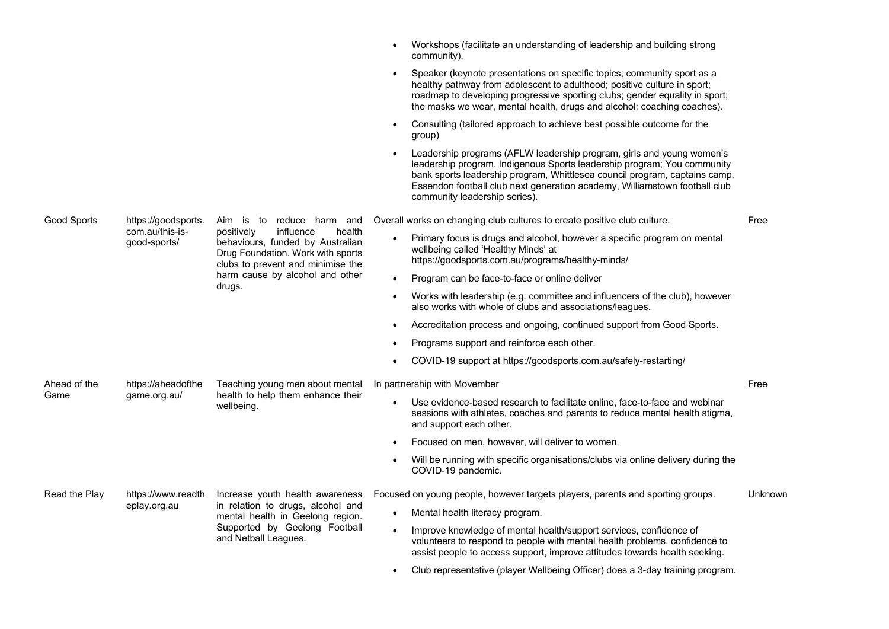|               |                                    |                                                                                                                                                                                              | Workshops (facilitate an understanding of leadership and building strong<br>community).                                                                                                                                                                                                                                                       |         |
|---------------|------------------------------------|----------------------------------------------------------------------------------------------------------------------------------------------------------------------------------------------|-----------------------------------------------------------------------------------------------------------------------------------------------------------------------------------------------------------------------------------------------------------------------------------------------------------------------------------------------|---------|
|               |                                    |                                                                                                                                                                                              | Speaker (keynote presentations on specific topics; community sport as a<br>healthy pathway from adolescent to adulthood; positive culture in sport;<br>roadmap to developing progressive sporting clubs; gender equality in sport;<br>the masks we wear, mental health, drugs and alcohol; coaching coaches).                                 |         |
|               |                                    |                                                                                                                                                                                              | Consulting (tailored approach to achieve best possible outcome for the<br>group)                                                                                                                                                                                                                                                              |         |
|               |                                    |                                                                                                                                                                                              | Leadership programs (AFLW leadership program, girls and young women's<br>leadership program, Indigenous Sports leadership program; You community<br>bank sports leadership program, Whittlesea council program, captains camp,<br>Essendon football club next generation academy, Williamstown football club<br>community leadership series). |         |
| Good Sports   | https://goodsports.                | Aim is to reduce harm and                                                                                                                                                                    | Overall works on changing club cultures to create positive club culture.                                                                                                                                                                                                                                                                      | Free    |
|               | com.au/this-is-<br>good-sports/    | positively<br>influence<br>health<br>behaviours, funded by Australian<br>Drug Foundation. Work with sports<br>clubs to prevent and minimise the<br>harm cause by alcohol and other<br>drugs. | Primary focus is drugs and alcohol, however a specific program on mental<br>wellbeing called 'Healthy Minds' at<br>https://goodsports.com.au/programs/healthy-minds/                                                                                                                                                                          |         |
|               |                                    |                                                                                                                                                                                              | Program can be face-to-face or online deliver<br>$\bullet$                                                                                                                                                                                                                                                                                    |         |
|               |                                    |                                                                                                                                                                                              | Works with leadership (e.g. committee and influencers of the club), however<br>also works with whole of clubs and associations/leagues.                                                                                                                                                                                                       |         |
|               |                                    |                                                                                                                                                                                              | Accreditation process and ongoing, continued support from Good Sports.                                                                                                                                                                                                                                                                        |         |
|               |                                    |                                                                                                                                                                                              | Programs support and reinforce each other.                                                                                                                                                                                                                                                                                                    |         |
|               |                                    |                                                                                                                                                                                              | COVID-19 support at https://goodsports.com.au/safely-restarting/                                                                                                                                                                                                                                                                              |         |
| Ahead of the  | https://aheadofthe<br>game.org.au/ | Teaching young men about mental<br>health to help them enhance their<br>wellbeing.                                                                                                           | In partnership with Movember                                                                                                                                                                                                                                                                                                                  | Free    |
| Game          |                                    |                                                                                                                                                                                              | Use evidence-based research to facilitate online, face-to-face and webinar<br>$\bullet$<br>sessions with athletes, coaches and parents to reduce mental health stigma,<br>and support each other.                                                                                                                                             |         |
|               |                                    |                                                                                                                                                                                              | Focused on men, however, will deliver to women.                                                                                                                                                                                                                                                                                               |         |
|               |                                    |                                                                                                                                                                                              | Will be running with specific organisations/clubs via online delivery during the<br>COVID-19 pandemic.                                                                                                                                                                                                                                        |         |
| Read the Play | https://www.readth<br>eplay.org.au | Increase youth health awareness<br>in relation to drugs, alcohol and<br>mental health in Geelong region.                                                                                     | Focused on young people, however targets players, parents and sporting groups.                                                                                                                                                                                                                                                                | Unknown |
|               |                                    |                                                                                                                                                                                              | Mental health literacy program.                                                                                                                                                                                                                                                                                                               |         |
|               |                                    | Supported by Geelong Football<br>and Netball Leagues.                                                                                                                                        | Improve knowledge of mental health/support services, confidence of<br>volunteers to respond to people with mental health problems, confidence to<br>assist people to access support, improve attitudes towards health seeking.                                                                                                                |         |
|               |                                    |                                                                                                                                                                                              | Club representative (player Wellbeing Officer) does a 3-day training program.<br>$\bullet$                                                                                                                                                                                                                                                    |         |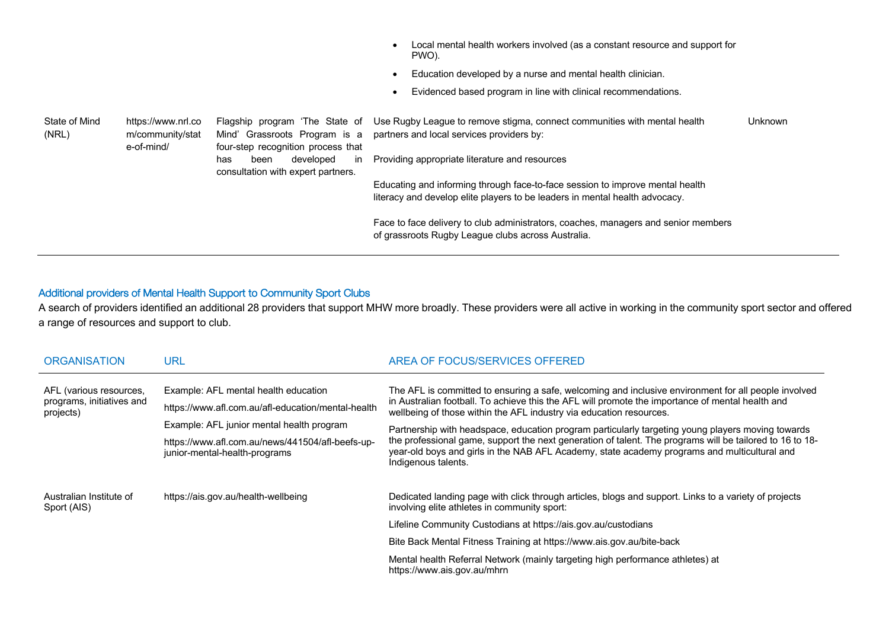|                        |                                                      |                                                                                                       | Local mental health workers involved (as a constant resource and support for<br>PWO).                                                                        |         |
|------------------------|------------------------------------------------------|-------------------------------------------------------------------------------------------------------|--------------------------------------------------------------------------------------------------------------------------------------------------------------|---------|
|                        |                                                      |                                                                                                       | Education developed by a nurse and mental health clinician.                                                                                                  |         |
|                        |                                                      |                                                                                                       | Evidenced based program in line with clinical recommendations.                                                                                               |         |
| State of Mind<br>(NRL) | https://www.nrl.co<br>m/community/stat<br>e-of-mind/ | Flagship program 'The State of<br>Mind' Grassroots Program is a<br>four-step recognition process that | Use Rugby League to remove stigma, connect communities with mental health<br>partners and local services providers by:                                       | Unknown |
|                        |                                                      | developed<br>been<br>has<br>$\mathsf{I}$<br>consultation with expert partners.                        | Providing appropriate literature and resources                                                                                                               |         |
|                        |                                                      |                                                                                                       | Educating and informing through face-to-face session to improve mental health<br>literacy and develop elite players to be leaders in mental health advocacy. |         |
|                        |                                                      |                                                                                                       | Face to face delivery to club administrators, coaches, managers and senior members<br>of grassroots Rugby League clubs across Australia.                     |         |

## Additional providers of Mental Health Support to Community Sport Clubs

A search of providers identified an additional 28 providers that support MHW more broadly. These providers were all active in working in the community sport sector and offered a range of resources and support to club.

| <b>ORGANISATION</b>                                               | <b>URL</b>                                                                                                                              | AREA OF FOCUS/SERVICES OFFERED                                                                                                                                                                                                                                                                                                       |
|-------------------------------------------------------------------|-----------------------------------------------------------------------------------------------------------------------------------------|--------------------------------------------------------------------------------------------------------------------------------------------------------------------------------------------------------------------------------------------------------------------------------------------------------------------------------------|
| AFL (various resources,<br>programs, initiatives and<br>projects) | Example: AFL mental health education<br>https://www.afl.com.au/afl-education/mental-health<br>Example: AFL junior mental health program | The AFL is committed to ensuring a safe, welcoming and inclusive environment for all people involved<br>in Australian football. To achieve this the AFL will promote the importance of mental health and<br>wellbeing of those within the AFL industry via education resources.                                                      |
|                                                                   | https://www.afl.com.au/news/441504/afl-beefs-up-<br>junior-mental-health-programs                                                       | Partnership with headspace, education program particularly targeting young players moving towards<br>the professional game, support the next generation of talent. The programs will be tailored to 16 to 18-<br>year-old boys and girls in the NAB AFL Academy, state academy programs and multicultural and<br>Indigenous talents. |
| Australian Institute of<br>Sport (AIS)                            | https://ais.gov.au/health-wellbeing                                                                                                     | Dedicated landing page with click through articles, blogs and support. Links to a variety of projects<br>involving elite athletes in community sport:                                                                                                                                                                                |
|                                                                   |                                                                                                                                         | Lifeline Community Custodians at https://ais.gov.au/custodians                                                                                                                                                                                                                                                                       |
|                                                                   |                                                                                                                                         | Bite Back Mental Fitness Training at https://www.ais.gov.au/bite-back                                                                                                                                                                                                                                                                |
|                                                                   |                                                                                                                                         | Mental health Referral Network (mainly targeting high performance athletes) at<br>https://www.ais.gov.au/mhrn                                                                                                                                                                                                                        |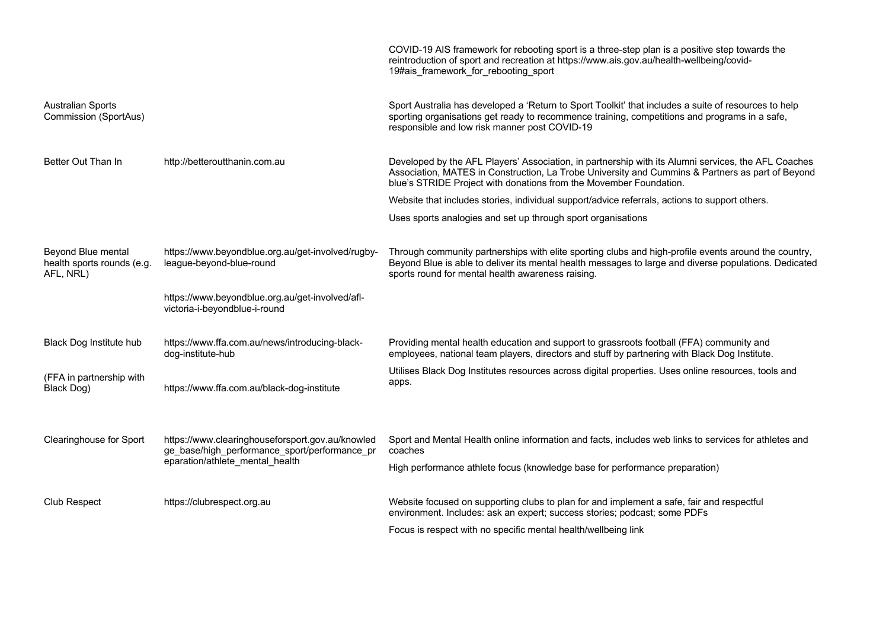|                                                               |                                                                                                                                      | COVID-19 AIS framework for rebooting sport is a three-step plan is a positive step towards the<br>reintroduction of sport and recreation at https://www.ais.gov.au/health-wellbeing/covid-<br>19#ais framework for rebooting sport                                            |
|---------------------------------------------------------------|--------------------------------------------------------------------------------------------------------------------------------------|-------------------------------------------------------------------------------------------------------------------------------------------------------------------------------------------------------------------------------------------------------------------------------|
| <b>Australian Sports</b><br>Commission (SportAus)             |                                                                                                                                      | Sport Australia has developed a 'Return to Sport Toolkit' that includes a suite of resources to help<br>sporting organisations get ready to recommence training, competitions and programs in a safe,<br>responsible and low risk manner post COVID-19                        |
| Better Out Than In                                            | http://betteroutthanin.com.au                                                                                                        | Developed by the AFL Players' Association, in partnership with its Alumni services, the AFL Coaches<br>Association, MATES in Construction, La Trobe University and Cummins & Partners as part of Beyond<br>blue's STRIDE Project with donations from the Movember Foundation. |
|                                                               |                                                                                                                                      | Website that includes stories, individual support/advice referrals, actions to support others.                                                                                                                                                                                |
|                                                               |                                                                                                                                      | Uses sports analogies and set up through sport organisations                                                                                                                                                                                                                  |
| Beyond Blue mental<br>health sports rounds (e.g.<br>AFL, NRL) | https://www.beyondblue.org.au/get-involved/rugby-<br>league-beyond-blue-round                                                        | Through community partnerships with elite sporting clubs and high-profile events around the country,<br>Beyond Blue is able to deliver its mental health messages to large and diverse populations. Dedicated<br>sports round for mental health awareness raising.            |
|                                                               | https://www.beyondblue.org.au/get-involved/afl-<br>victoria-i-beyondblue-i-round                                                     |                                                                                                                                                                                                                                                                               |
| Black Dog Institute hub                                       | https://www.ffa.com.au/news/introducing-black-<br>dog-institute-hub                                                                  | Providing mental health education and support to grassroots football (FFA) community and<br>employees, national team players, directors and stuff by partnering with Black Dog Institute.                                                                                     |
| (FFA in partnership with<br>Black Dog)                        | https://www.ffa.com.au/black-dog-institute                                                                                           | Utilises Black Dog Institutes resources across digital properties. Uses online resources, tools and<br>apps.                                                                                                                                                                  |
| <b>Clearinghouse for Sport</b>                                | https://www.clearinghouseforsport.gov.au/knowled<br>ge_base/high_performance_sport/performance_pr<br>eparation/athlete mental health | Sport and Mental Health online information and facts, includes web links to services for athletes and<br>coaches<br>High performance athlete focus (knowledge base for performance preparation)                                                                               |
| <b>Club Respect</b>                                           | https://clubrespect.org.au                                                                                                           | Website focused on supporting clubs to plan for and implement a safe, fair and respectful<br>environment. Includes: ask an expert; success stories; podcast; some PDFs                                                                                                        |
|                                                               |                                                                                                                                      | Focus is respect with no specific mental health/wellbeing link                                                                                                                                                                                                                |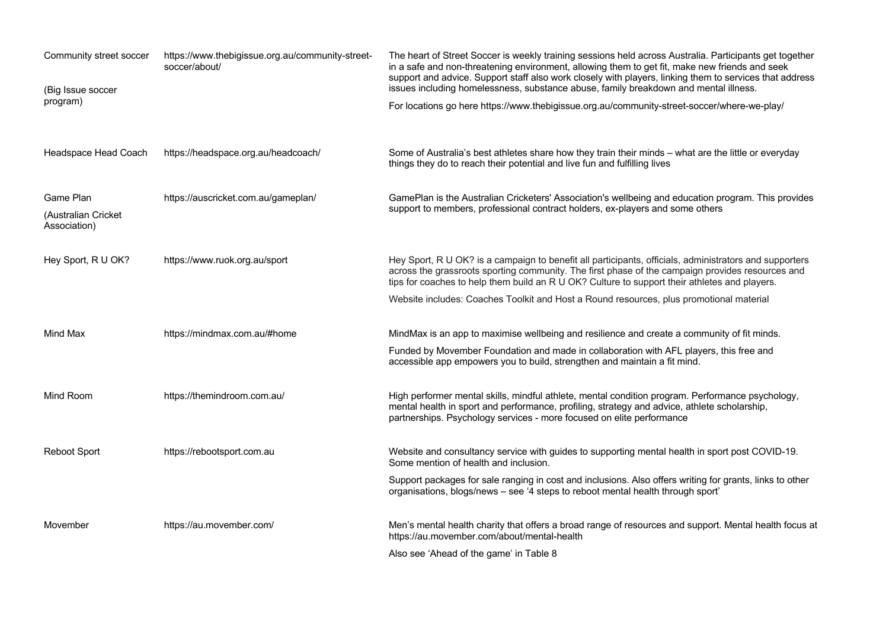| Community street soccer<br>(Big Issue soccer     | https://www.thebigissue.org.au/community-street-<br>soccer/about/ | The heart of Street Soccer is weekly training sessions held across Australia. Participants get together<br>in a safe and non-threatening environment, allowing them to get fit, make new friends and seek<br>support and advice. Support staff also work closely with players, linking them to services that address<br>issues including homelessness, substance abuse, family breakdown and mental illness. |
|--------------------------------------------------|-------------------------------------------------------------------|--------------------------------------------------------------------------------------------------------------------------------------------------------------------------------------------------------------------------------------------------------------------------------------------------------------------------------------------------------------------------------------------------------------|
| program)                                         |                                                                   | For locations go here https://www.thebigissue.org.au/community-street-soccer/where-we-play/                                                                                                                                                                                                                                                                                                                  |
| Headspace Head Coach                             | https://headspace.org.au/headcoach/                               | Some of Australia's best athletes share how they train their minds - what are the little or everyday<br>things they do to reach their potential and live fun and fulfilling lives                                                                                                                                                                                                                            |
| Game Plan<br>(Australian Cricket<br>Association) | https://auscricket.com.au/gameplan/                               | GamePlan is the Australian Cricketers' Association's wellbeing and education program. This provides<br>support to members, professional contract holders, ex-players and some others                                                                                                                                                                                                                         |
| Hey Sport, R U OK?                               | https://www.ruok.org.au/sport                                     | Hey Sport, R U OK? is a campaign to benefit all participants, officials, administrators and supporters<br>across the grassroots sporting community. The first phase of the campaign provides resources and<br>tips for coaches to help them build an R U OK? Culture to support their athletes and players.                                                                                                  |
|                                                  |                                                                   | Website includes: Coaches Toolkit and Host a Round resources, plus promotional material                                                                                                                                                                                                                                                                                                                      |
| Mind Max                                         | https://mindmax.com.au/#home                                      | MindMax is an app to maximise wellbeing and resilience and create a community of fit minds.                                                                                                                                                                                                                                                                                                                  |
|                                                  |                                                                   | Funded by Movember Foundation and made in collaboration with AFL players, this free and<br>accessible app empowers you to build, strengthen and maintain a fit mind.                                                                                                                                                                                                                                         |
| Mind Room                                        | https://themindroom.com.au/                                       | High performer mental skills, mindful athlete, mental condition program. Performance psychology,<br>mental health in sport and performance, profiling, strategy and advice, athlete scholarship,<br>partnerships. Psychology services - more focused on elite performance                                                                                                                                    |
| <b>Reboot Sport</b>                              | https://rebootsport.com.au                                        | Website and consultancy service with guides to supporting mental health in sport post COVID-19.<br>Some mention of health and inclusion.                                                                                                                                                                                                                                                                     |
|                                                  |                                                                   | Support packages for sale ranging in cost and inclusions. Also offers writing for grants, links to other<br>organisations, blogs/news - see '4 steps to reboot mental health through sport'                                                                                                                                                                                                                  |
| Movember                                         | https://au.movember.com/                                          | Men's mental health charity that offers a broad range of resources and support. Mental health focus at<br>https://au.movember.com/about/mental-health                                                                                                                                                                                                                                                        |
|                                                  |                                                                   | Also see 'Ahead of the game' in Table 8                                                                                                                                                                                                                                                                                                                                                                      |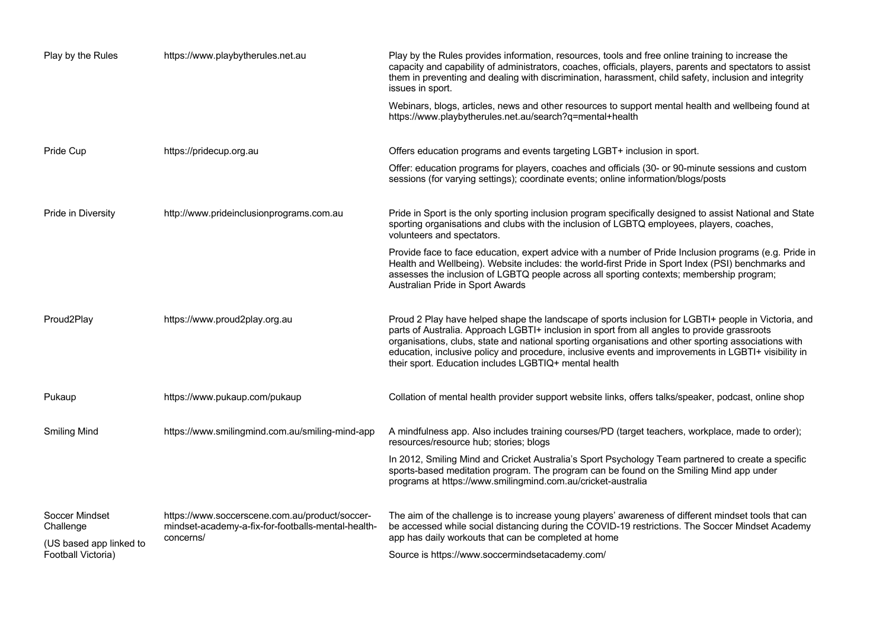| Play by the Rules                             | https://www.playbytherules.net.au                                                                    | Play by the Rules provides information, resources, tools and free online training to increase the<br>capacity and capability of administrators, coaches, officials, players, parents and spectators to assist<br>them in preventing and dealing with discrimination, harassment, child safety, inclusion and integrity<br>issues in sport.                                                                                                                                   |
|-----------------------------------------------|------------------------------------------------------------------------------------------------------|------------------------------------------------------------------------------------------------------------------------------------------------------------------------------------------------------------------------------------------------------------------------------------------------------------------------------------------------------------------------------------------------------------------------------------------------------------------------------|
|                                               |                                                                                                      | Webinars, blogs, articles, news and other resources to support mental health and wellbeing found at<br>https://www.playbytherules.net.au/search?q=mental+health                                                                                                                                                                                                                                                                                                              |
| Pride Cup                                     | https://pridecup.org.au                                                                              | Offers education programs and events targeting LGBT+ inclusion in sport.                                                                                                                                                                                                                                                                                                                                                                                                     |
|                                               |                                                                                                      | Offer: education programs for players, coaches and officials (30- or 90-minute sessions and custom<br>sessions (for varying settings); coordinate events; online information/blogs/posts                                                                                                                                                                                                                                                                                     |
| Pride in Diversity                            | http://www.prideinclusionprograms.com.au                                                             | Pride in Sport is the only sporting inclusion program specifically designed to assist National and State<br>sporting organisations and clubs with the inclusion of LGBTQ employees, players, coaches,<br>volunteers and spectators.                                                                                                                                                                                                                                          |
|                                               |                                                                                                      | Provide face to face education, expert advice with a number of Pride Inclusion programs (e.g. Pride in<br>Health and Wellbeing). Website includes: the world-first Pride in Sport Index (PSI) benchmarks and<br>assesses the inclusion of LGBTQ people across all sporting contexts; membership program;<br>Australian Pride in Sport Awards                                                                                                                                 |
| Proud2Play                                    | https://www.proud2play.org.au                                                                        | Proud 2 Play have helped shape the landscape of sports inclusion for LGBTI+ people in Victoria, and<br>parts of Australia. Approach LGBTI+ inclusion in sport from all angles to provide grassroots<br>organisations, clubs, state and national sporting organisations and other sporting associations with<br>education, inclusive policy and procedure, inclusive events and improvements in LGBTI+ visibility in<br>their sport. Education includes LGBTIQ+ mental health |
| Pukaup                                        | https://www.pukaup.com/pukaup                                                                        | Collation of mental health provider support website links, offers talks/speaker, podcast, online shop                                                                                                                                                                                                                                                                                                                                                                        |
| <b>Smiling Mind</b>                           | https://www.smilingmind.com.au/smiling-mind-app                                                      | A mindfulness app. Also includes training courses/PD (target teachers, workplace, made to order);<br>resources/resource hub; stories; blogs                                                                                                                                                                                                                                                                                                                                  |
|                                               |                                                                                                      | In 2012, Smiling Mind and Cricket Australia's Sport Psychology Team partnered to create a specific<br>sports-based meditation program. The program can be found on the Smiling Mind app under<br>programs at https://www.smilingmind.com.au/cricket-australia                                                                                                                                                                                                                |
| Soccer Mindset<br>Challenge                   | https://www.soccerscene.com.au/product/soccer-<br>mindset-academy-a-fix-for-footballs-mental-health- | The aim of the challenge is to increase young players' awareness of different mindset tools that can<br>be accessed while social distancing during the COVID-19 restrictions. The Soccer Mindset Academy                                                                                                                                                                                                                                                                     |
| (US based app linked to<br>Football Victoria) | concerns/                                                                                            | app has daily workouts that can be completed at home<br>Source is https://www.soccermindsetacademy.com/                                                                                                                                                                                                                                                                                                                                                                      |